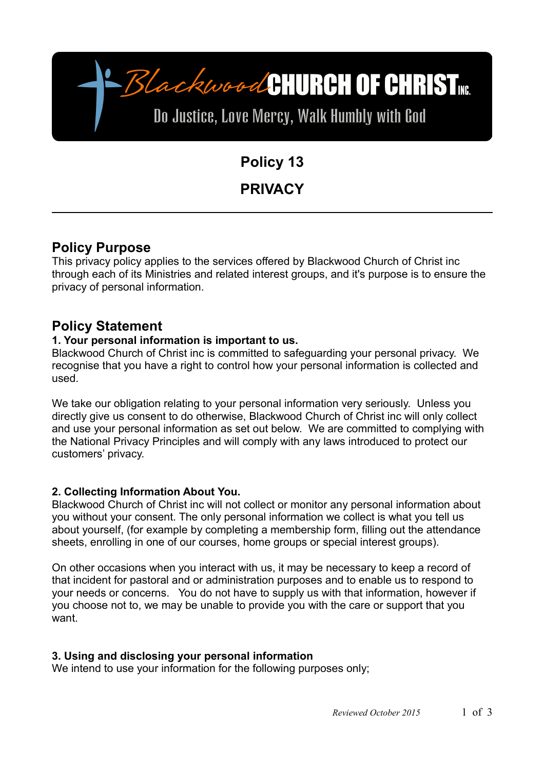BlackwoodCHURCH OF CHRISTME.

Do Justice, Love Mercy, Walk Humbly with God

# **Policy 13**

# **PRIVACY**

# **Policy Purpose**

This privacy policy applies to the services offered by Blackwood Church of Christ inc through each of its Ministries and related interest groups, and it's purpose is to ensure the privacy of personal information.

# **Policy Statement**

### **1. Your personal information is important to us.**

Blackwood Church of Christ inc is committed to safeguarding your personal privacy. We recognise that you have a right to control how your personal information is collected and used.

We take our obligation relating to your personal information very seriously. Unless you directly give us consent to do otherwise, Blackwood Church of Christ inc will only collect and use your personal information as set out below. We are committed to complying with the National Privacy Principles and will comply with any laws introduced to protect our customers' privacy.

# **2. Collecting Information About You.**

Blackwood Church of Christ inc will not collect or monitor any personal information about you without your consent. The only personal information we collect is what you tell us about yourself, (for example by completing a membership form, filling out the attendance sheets, enrolling in one of our courses, home groups or special interest groups).

On other occasions when you interact with us, it may be necessary to keep a record of that incident for pastoral and or administration purposes and to enable us to respond to your needs or concerns. You do not have to supply us with that information, however if you choose not to, we may be unable to provide you with the care or support that you want.

# **3. Using and disclosing your personal information**

We intend to use your information for the following purposes only;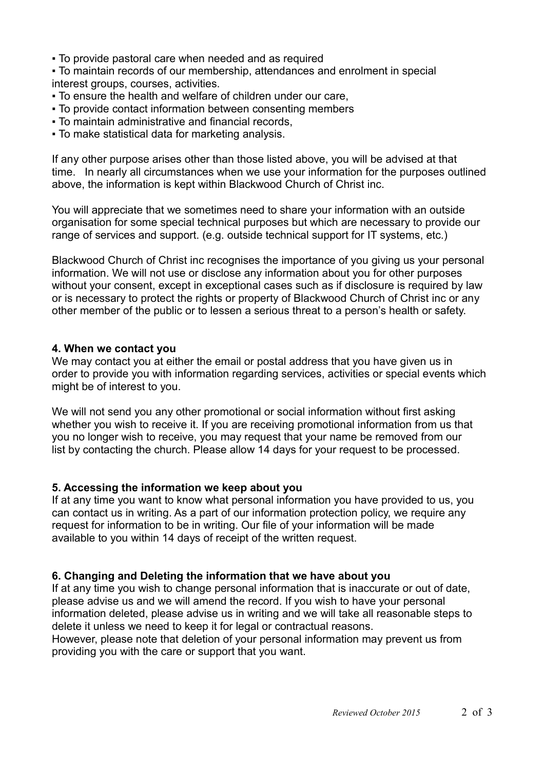▪ To provide pastoral care when needed and as required

▪ To maintain records of our membership, attendances and enrolment in special interest groups, courses, activities.

- To ensure the health and welfare of children under our care,
- To provide contact information between consenting members
- To maintain administrative and financial records,
- To make statistical data for marketing analysis.

If any other purpose arises other than those listed above, you will be advised at that time. In nearly all circumstances when we use your information for the purposes outlined above, the information is kept within Blackwood Church of Christ inc.

You will appreciate that we sometimes need to share your information with an outside organisation for some special technical purposes but which are necessary to provide our range of services and support. (e.g. outside technical support for IT systems, etc.)

Blackwood Church of Christ inc recognises the importance of you giving us your personal information. We will not use or disclose any information about you for other purposes without your consent, except in exceptional cases such as if disclosure is required by law or is necessary to protect the rights or property of Blackwood Church of Christ inc or any other member of the public or to lessen a serious threat to a person's health or safety.

#### **4. When we contact you**

We may contact you at either the email or postal address that you have given us in order to provide you with information regarding services, activities or special events which might be of interest to you.

We will not send you any other promotional or social information without first asking whether you wish to receive it. If you are receiving promotional information from us that you no longer wish to receive, you may request that your name be removed from our list by contacting the church. Please allow 14 days for your request to be processed.

#### **5. Accessing the information we keep about you**

If at any time you want to know what personal information you have provided to us, you can contact us in writing. As a part of our information protection policy, we require any request for information to be in writing. Our file of your information will be made available to you within 14 days of receipt of the written request.

#### **6. Changing and Deleting the information that we have about you**

If at any time you wish to change personal information that is inaccurate or out of date, please advise us and we will amend the record. If you wish to have your personal information deleted, please advise us in writing and we will take all reasonable steps to delete it unless we need to keep it for legal or contractual reasons.

However, please note that deletion of your personal information may prevent us from providing you with the care or support that you want.